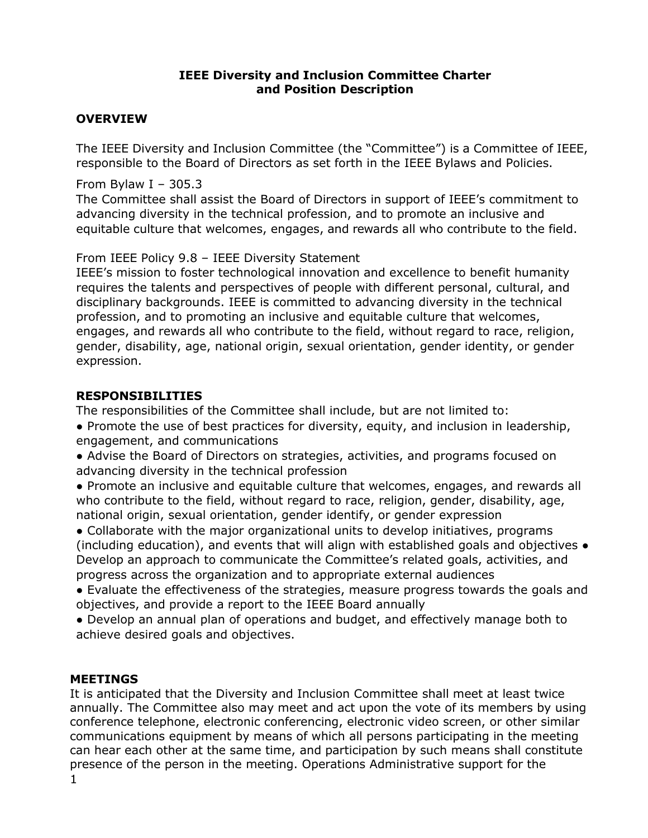#### **IEEE Diversity and Inclusion Committee Charter and Position Description**

#### **OVERVIEW**

The IEEE Diversity and Inclusion Committee (the "Committee") is a Committee of IEEE, responsible to the Board of Directors as set forth in the IEEE Bylaws and Policies.

From Bylaw I – 305.3

The Committee shall assist the Board of Directors in support of IEEE's commitment to advancing diversity in the technical profession, and to promote an inclusive and equitable culture that welcomes, engages, and rewards all who contribute to the field.

#### From IEEE Policy 9.8 – IEEE Diversity Statement

IEEE's mission to foster technological innovation and excellence to benefit humanity requires the talents and perspectives of people with different personal, cultural, and disciplinary backgrounds. IEEE is committed to advancing diversity in the technical profession, and to promoting an inclusive and equitable culture that welcomes, engages, and rewards all who contribute to the field, without regard to race, religion, gender, disability, age, national origin, sexual orientation, gender identity, or gender expression.

## **RESPONSIBILITIES**

The responsibilities of the Committee shall include, but are not limited to:

• Promote the use of best practices for diversity, equity, and inclusion in leadership, engagement, and communications

● Advise the Board of Directors on strategies, activities, and programs focused on advancing diversity in the technical profession

● Promote an inclusive and equitable culture that welcomes, engages, and rewards all who contribute to the field, without regard to race, religion, gender, disability, age, national origin, sexual orientation, gender identify, or gender expression

● Collaborate with the major organizational units to develop initiatives, programs (including education), and events that will align with established goals and objectives ● Develop an approach to communicate the Committee's related goals, activities, and progress across the organization and to appropriate external audiences

● Evaluate the effectiveness of the strategies, measure progress towards the goals and objectives, and provide a report to the IEEE Board annually

● Develop an annual plan of operations and budget, and effectively manage both to achieve desired goals and objectives.

#### **MEETINGS**

1 It is anticipated that the Diversity and Inclusion Committee shall meet at least twice annually. The Committee also may meet and act upon the vote of its members by using conference telephone, electronic conferencing, electronic video screen, or other similar communications equipment by means of which all persons participating in the meeting can hear each other at the same time, and participation by such means shall constitute presence of the person in the meeting. Operations Administrative support for the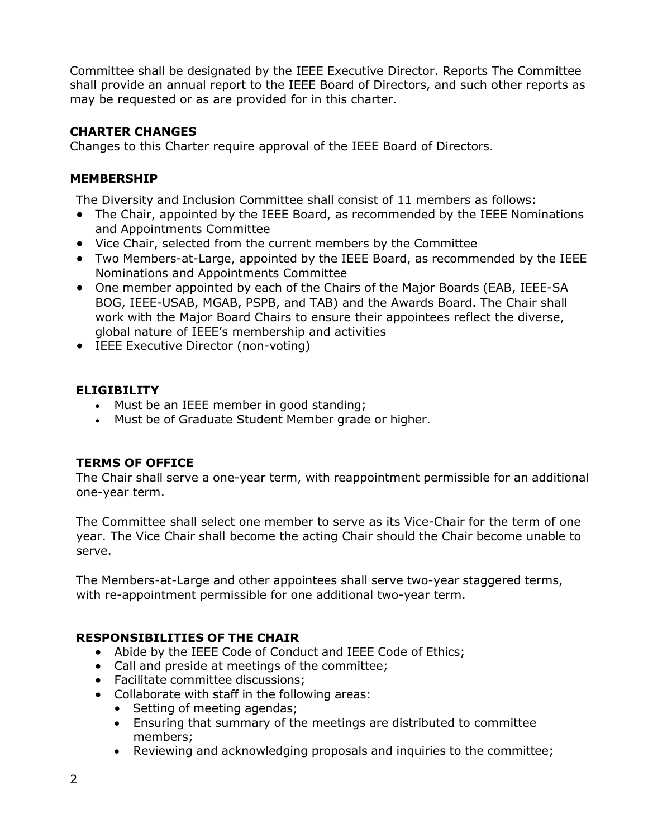Committee shall be designated by the IEEE Executive Director. Reports The Committee shall provide an annual report to the IEEE Board of Directors, and such other reports as may be requested or as are provided for in this charter.

### **CHARTER CHANGES**

Changes to this Charter require approval of the IEEE Board of Directors.

## **MEMBERSHIP**

The Diversity and Inclusion Committee shall consist of 11 members as follows:

- The Chair, appointed by the IEEE Board, as recommended by the IEEE Nominations and Appointments Committee
- Vice Chair, selected from the current members by the Committee
- Two Members-at-Large, appointed by the IEEE Board, as recommended by the IEEE Nominations and Appointments Committee
- One member appointed by each of the Chairs of the Major Boards (EAB, IEEE-SA BOG, IEEE-USAB, MGAB, PSPB, and TAB) and the Awards Board. The Chair shall work with the Major Board Chairs to ensure their appointees reflect the diverse, global nature of IEEE's membership and activities
- IEEE Executive Director (non-voting)

### **ELIGIBILITY**

- Must be an IEEE member in good standing;
- Must be of Graduate Student Member grade or higher.

## **TERMS OF OFFICE**

The Chair shall serve a one-year term, with reappointment permissible for an additional one-year term.

The Committee shall select one member to serve as its Vice-Chair for the term of one year. The Vice Chair shall become the acting Chair should the Chair become unable to serve.

The Members-at-Large and other appointees shall serve two-year staggered terms, with re-appointment permissible for one additional two-year term.

## **RESPONSIBILITIES OF THE CHAIR**

- Abide by the IEEE Code of Conduct and IEEE Code of Ethics;
- Call and preside at meetings of the committee;
- Facilitate committee discussions;
- Collaborate with staff in the following areas:
	- Setting of meeting agendas;
	- Ensuring that summary of the meetings are distributed to committee members;
	- Reviewing and acknowledging proposals and inquiries to the committee;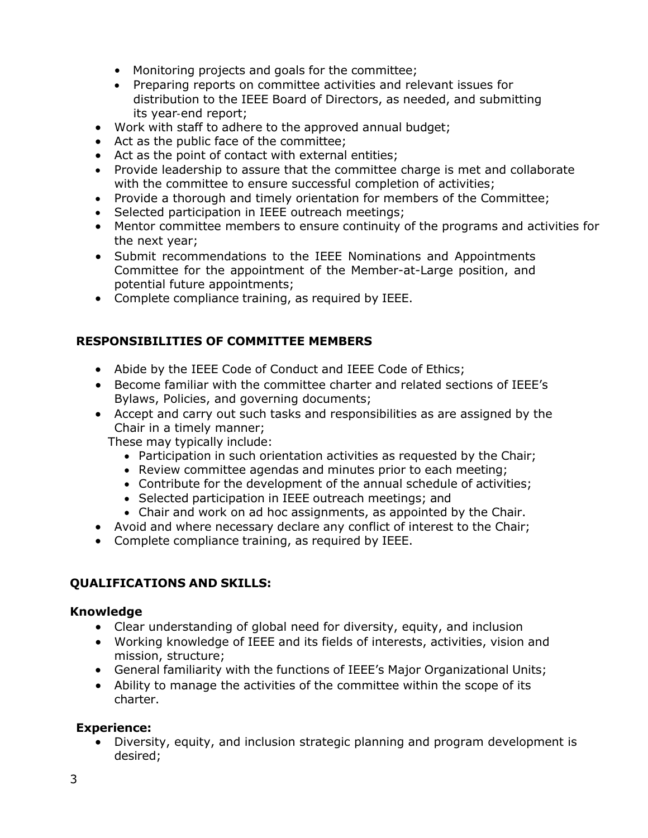- Monitoring projects and goals for the committee;
- Preparing reports on committee activities and relevant issues for distribution to the IEEE Board of Directors, as needed, and submitting its year‐end report;
- Work with staff to adhere to the approved annual budget;
- Act as the public face of the committee;
- Act as the point of contact with external entities;
- Provide leadership to assure that the committee charge is met and collaborate with the committee to ensure successful completion of activities;
- Provide a thorough and timely orientation for members of the Committee;
- Selected participation in IEEE outreach meetings;
- Mentor committee members to ensure continuity of the programs and activities for the next year;
- Submit recommendations to the IEEE Nominations and Appointments Committee for the appointment of the Member-at-Large position, and potential future appointments;
- Complete compliance training, as required by IEEE.

## **RESPONSIBILITIES OF COMMITTEE MEMBERS**

- Abide by the IEEE Code of Conduct and IEEE Code of Ethics;
- Become familiar with the committee charter and related sections of IEEE's Bylaws, Policies, and governing documents;
- Accept and carry out such tasks and responsibilities as are assigned by the Chair in a timely manner;

These may typically include:

- Participation in such orientation activities as requested by the Chair;
- Review committee agendas and minutes prior to each meeting;
- Contribute for the development of the annual schedule of activities;
- Selected participation in IEEE outreach meetings; and
- Chair and work on ad hoc assignments, as appointed by the Chair.
- Avoid and where necessary declare any conflict of interest to the Chair;
- Complete compliance training, as required by IEEE.

## **QUALIFICATIONS AND SKILLS:**

#### **Knowledge**

- Clear understanding of global need for diversity, equity, and inclusion
- Working knowledge of IEEE and its fields of interests, activities, vision and mission, structure;
- General familiarity with the functions of IEEE's Major Organizational Units;
- Ability to manage the activities of the committee within the scope of its charter.

## **Experience:**

• Diversity, equity, and inclusion strategic planning and program development is desired;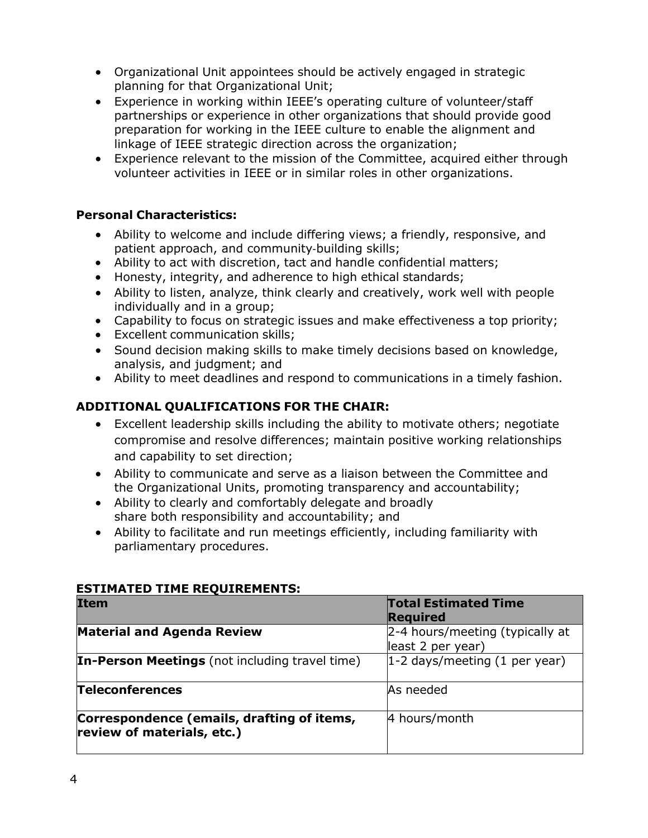- Organizational Unit appointees should be actively engaged in strategic planning for that Organizational Unit;
- Experience in working within IEEE's operating culture of volunteer/staff partnerships or experience in other organizations that should provide good preparation for working in the IEEE culture to enable the alignment and linkage of IEEE strategic direction across the organization;
- Experience relevant to the mission of the Committee, acquired either through volunteer activities in IEEE or in similar roles in other organizations.

### **Personal Characteristics:**

- Ability to welcome and include differing views; a friendly, responsive, and patient approach, and community-building skills;
- Ability to act with discretion, tact and handle confidential matters;
- Honesty, integrity, and adherence to high ethical standards;
- Ability to listen, analyze, think clearly and creatively, work well with people individually and in a group;
- Capability to focus on strategic issues and make effectiveness a top priority;
- Excellent communication skills;
- Sound decision making skills to make timely decisions based on knowledge, analysis, and judgment; and
- Ability to meet deadlines and respond to communications in a timely fashion.

### **ADDITIONAL QUALIFICATIONS FOR THE CHAIR:**

- Excellent leadership skills including the ability to motivate others; negotiate compromise and resolve differences; maintain positive working relationships and capability to set direction;
- Ability to communicate and serve as a liaison between the Committee and the Organizational Units, promoting transparency and accountability;
- Ability to clearly and comfortably delegate and broadly share both responsibility and accountability; and
- Ability to facilitate and run meetings efficiently, including familiarity with parliamentary procedures.

| <b>Item</b>                                                              | <b>Total Estimated Time</b><br><b>Required</b>       |
|--------------------------------------------------------------------------|------------------------------------------------------|
| <b>Material and Agenda Review</b>                                        | 2-4 hours/meeting (typically at<br>least 2 per year) |
| <b>In-Person Meetings</b> (not including travel time)                    | $1-2$ days/meeting (1 per year)                      |
| <b>Teleconferences</b>                                                   | As needed                                            |
| Correspondence (emails, drafting of items,<br>review of materials, etc.) | 4 hours/month                                        |

#### **ESTIMATED TIME REQUIREMENTS:**